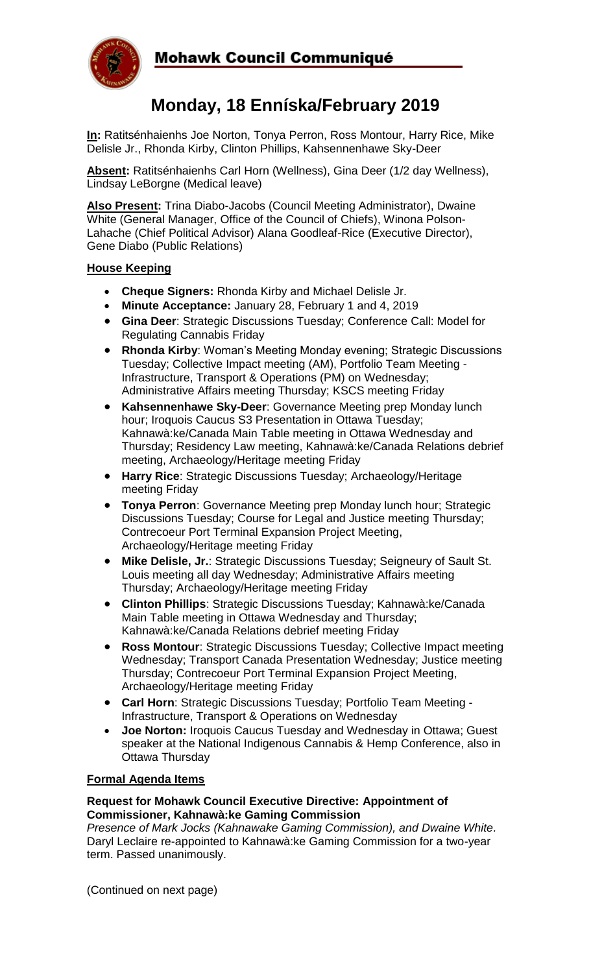

# Mohawk Council Communiqué

# **Monday, 18 Enníska/February 2019**

**In:** Ratitsénhaienhs Joe Norton, Tonya Perron, Ross Montour, Harry Rice, Mike Delisle Jr., Rhonda Kirby, Clinton Phillips, Kahsennenhawe Sky-Deer

**Absent:** Ratitsénhaienhs Carl Horn (Wellness), Gina Deer (1/2 day Wellness), Lindsay LeBorgne (Medical leave)

**Also Present:** Trina Diabo-Jacobs (Council Meeting Administrator), Dwaine White (General Manager, Office of the Council of Chiefs), Winona Polson-Lahache (Chief Political Advisor) Alana Goodleaf-Rice (Executive Director), Gene Diabo (Public Relations)

# **House Keeping**

- **Cheque Signers:** Rhonda Kirby and Michael Delisle Jr.
- **Minute Acceptance:** January 28, February 1 and 4, 2019
- **Gina Deer**: Strategic Discussions Tuesday; Conference Call: Model for Regulating Cannabis Friday
- **Rhonda Kirby**: Woman's Meeting Monday evening; Strategic Discussions Tuesday; Collective Impact meeting (AM), Portfolio Team Meeting - Infrastructure, Transport & Operations (PM) on Wednesday; Administrative Affairs meeting Thursday; KSCS meeting Friday
- **Kahsennenhawe Sky-Deer**: Governance Meeting prep Monday lunch hour; Iroquois Caucus S3 Presentation in Ottawa Tuesday; Kahnawà:ke/Canada Main Table meeting in Ottawa Wednesday and Thursday; Residency Law meeting, Kahnawà:ke/Canada Relations debrief meeting, Archaeology/Heritage meeting Friday
- **Harry Rice**: Strategic Discussions Tuesday; Archaeology/Heritage meeting Friday
- **Tonya Perron**: Governance Meeting prep Monday lunch hour; Strategic Discussions Tuesday; Course for Legal and Justice meeting Thursday; Contrecoeur Port Terminal Expansion Project Meeting, Archaeology/Heritage meeting Friday
- **Mike Delisle, Jr.**: Strategic Discussions Tuesday; Seigneury of Sault St. Louis meeting all day Wednesday; Administrative Affairs meeting Thursday; Archaeology/Heritage meeting Friday
- **Clinton Phillips**: Strategic Discussions Tuesday; Kahnawà:ke/Canada Main Table meeting in Ottawa Wednesday and Thursday; Kahnawà:ke/Canada Relations debrief meeting Friday
- **Ross Montour**: Strategic Discussions Tuesday; Collective Impact meeting Wednesday; Transport Canada Presentation Wednesday; Justice meeting Thursday; Contrecoeur Port Terminal Expansion Project Meeting, Archaeology/Heritage meeting Friday
- **Carl Horn**: Strategic Discussions Tuesday; Portfolio Team Meeting Infrastructure, Transport & Operations on Wednesday
- **Joe Norton:** Iroquois Caucus Tuesday and Wednesday in Ottawa; Guest speaker at the National Indigenous Cannabis & Hemp Conference, also in Ottawa Thursday

# **Formal Agenda Items**

#### **Request for Mohawk Council Executive Directive: Appointment of Commissioner, Kahnawà:ke Gaming Commission**

*Presence of Mark Jocks (Kahnawake Gaming Commission), and Dwaine White.* Daryl Leclaire re-appointed to Kahnawà:ke Gaming Commission for a two-year term. Passed unanimously.

(Continued on next page)